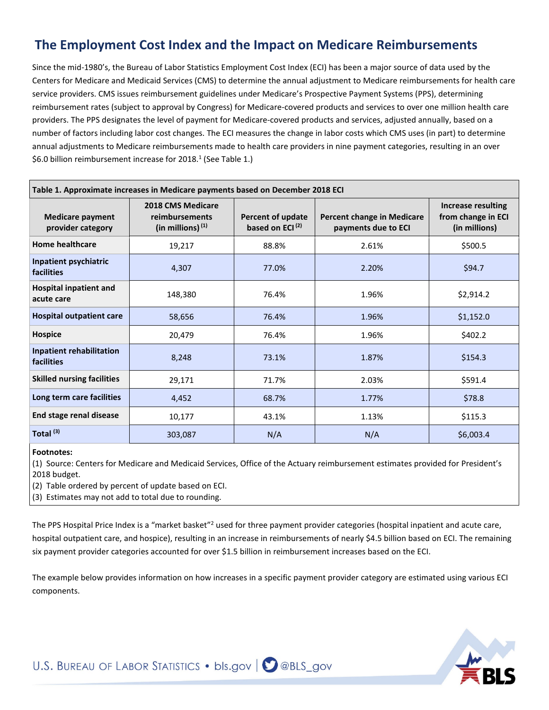# **The Employment Cost Index and the Impact on Medicare Reimbursements**

Since the mid-1980's, the Bureau of Labor Statistics Employment Cost Index (ECI) has been a major source of data used by the Centers for Medicare and Medicaid Services (CMS) to determine the annual adjustment to Medicare reimbursements for health care service providers. CMS issues reimbursement guidelines under Medicare's Prospective Payment Systems (PPS), determining reimbursement rates (subject to approval by Congress) for Medicare-covered products and services to over one million health care providers. The PPS designates the level of payment for Medicare-covered products and services, adjusted annually, based on a number of factors including labor cost changes. The ECI measures the change in labor costs which CMS uses (in part) to determine annual adjustments to Medicare reimbursements made to health care providers in nine payment categories, resulting in an over \$6.0 billion reimbursement increase for 2018. <sup>1</sup> (See Table 1.)

| Table 1. Approximate increases in Medicare payments based on December 2018 ECI |                                                                   |                                                  |                                                          |                                                                  |  |
|--------------------------------------------------------------------------------|-------------------------------------------------------------------|--------------------------------------------------|----------------------------------------------------------|------------------------------------------------------------------|--|
| <b>Medicare payment</b><br>provider category                                   | <b>2018 CMS Medicare</b><br>reimbursements<br>(in millions) $(1)$ | Percent of update<br>based on ECI <sup>(2)</sup> | <b>Percent change in Medicare</b><br>payments due to ECI | <b>Increase resulting</b><br>from change in ECI<br>(in millions) |  |
| <b>Home healthcare</b>                                                         | 19,217                                                            | 88.8%                                            | 2.61%                                                    | \$500.5                                                          |  |
| Inpatient psychiatric<br><b>facilities</b>                                     | 4,307                                                             | 77.0%                                            | 2.20%                                                    | \$94.7                                                           |  |
| <b>Hospital inpatient and</b><br>acute care                                    | 148,380                                                           | 76.4%                                            | 1.96%                                                    | \$2,914.2                                                        |  |
| <b>Hospital outpatient care</b>                                                | 58,656                                                            | 76.4%                                            | 1.96%                                                    | \$1,152.0                                                        |  |
| Hospice                                                                        | 20,479                                                            | 76.4%                                            | 1.96%                                                    | \$402.2                                                          |  |
| <b>Inpatient rehabilitation</b><br><b>facilities</b>                           | 8,248                                                             | 73.1%                                            | 1.87%                                                    | \$154.3                                                          |  |
| <b>Skilled nursing facilities</b>                                              | 29,171                                                            | 71.7%                                            | 2.03%                                                    | \$591.4                                                          |  |
| Long term care facilities                                                      | 4,452                                                             | 68.7%                                            | 1.77%                                                    | \$78.8                                                           |  |
| End stage renal disease                                                        | 10,177                                                            | 43.1%                                            | 1.13%                                                    | \$115.3                                                          |  |
| Total <sup>(3)</sup>                                                           | 303,087                                                           | N/A                                              | N/A                                                      | \$6,003.4                                                        |  |

#### **Footnotes:**

(1) Source: Centers for Medicare and Medicaid Services, Office of the Actuary reimbursement estimates provided for President's 2018 budget.

(2) Table ordered by percent of update based on ECI.

(3) Estimates may not add to total due to rounding.

The PPS Hospital Price Index is a "market basket"<sup>2</sup> used for three payment provider categories (hospital inpatient and acute care, hospital outpatient care, and hospice), resulting in an increase in reimbursements of nearly \$4.5 billion based on ECI. The remaining six payment provider categories accounted for over \$1.5 billion in reimbursement increases based on the ECI.

The example below provides information on how increases in a specific payment provider category are estimated using various ECI components.